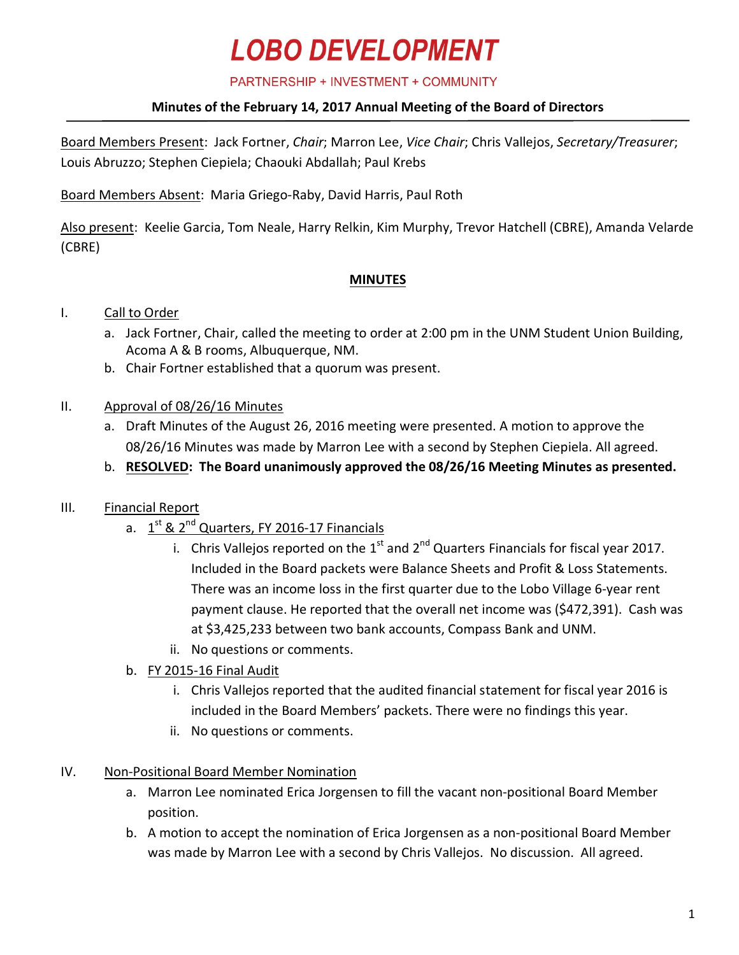## **LOBO DEVELOPMENT**

PARTNERSHIP + INVESTMENT + COMMUNITY

#### **Minutes of the February 14, 2017 Annual Meeting of the Board of Directors**

Board Members Present: Jack Fortner, *Chair*; Marron Lee, *Vice Chair*; Chris Vallejos, *Secretary/Treasurer*; Louis Abruzzo; Stephen Ciepiela; Chaouki Abdallah; Paul Krebs

Board Members Absent: Maria Griego-Raby, David Harris, Paul Roth

Also present: Keelie Garcia, Tom Neale, Harry Relkin, Kim Murphy, Trevor Hatchell (CBRE), Amanda Velarde (CBRE)

#### **MINUTES**

#### I. Call to Order

- a. Jack Fortner, Chair, called the meeting to order at 2:00 pm in the UNM Student Union Building, Acoma A & B rooms, Albuquerque, NM.
- b. Chair Fortner established that a quorum was present.

#### II. Approval of 08/26/16 Minutes

- a. Draft Minutes of the August 26, 2016 meeting were presented. A motion to approve the 08/26/16 Minutes was made by Marron Lee with a second by Stephen Ciepiela. All agreed.
- b. **RESOLVED: The Board unanimously approved the 08/26/16 Meeting Minutes as presented.**

#### III. Financial Report

- a.  $1^{st}$  &  $2^{nd}$  Quarters, FY 2016-17 Financials
	- i. Chris Vallejos reported on the  $1^{st}$  and  $2^{nd}$  Quarters Financials for fiscal year 2017. Included in the Board packets were Balance Sheets and Profit & Loss Statements. There was an income loss in the first quarter due to the Lobo Village 6-year rent payment clause. He reported that the overall net income was (\$472,391). Cash was at \$3,425,233 between two bank accounts, Compass Bank and UNM.
	- ii. No questions or comments.
- b. FY 2015-16 Final Audit
	- i. Chris Vallejos reported that the audited financial statement for fiscal year 2016 is included in the Board Members' packets. There were no findings this year.
	- ii. No questions or comments.
- IV. Non-Positional Board Member Nomination
	- a. Marron Lee nominated Erica Jorgensen to fill the vacant non-positional Board Member position.
	- b. A motion to accept the nomination of Erica Jorgensen as a non-positional Board Member was made by Marron Lee with a second by Chris Vallejos. No discussion. All agreed.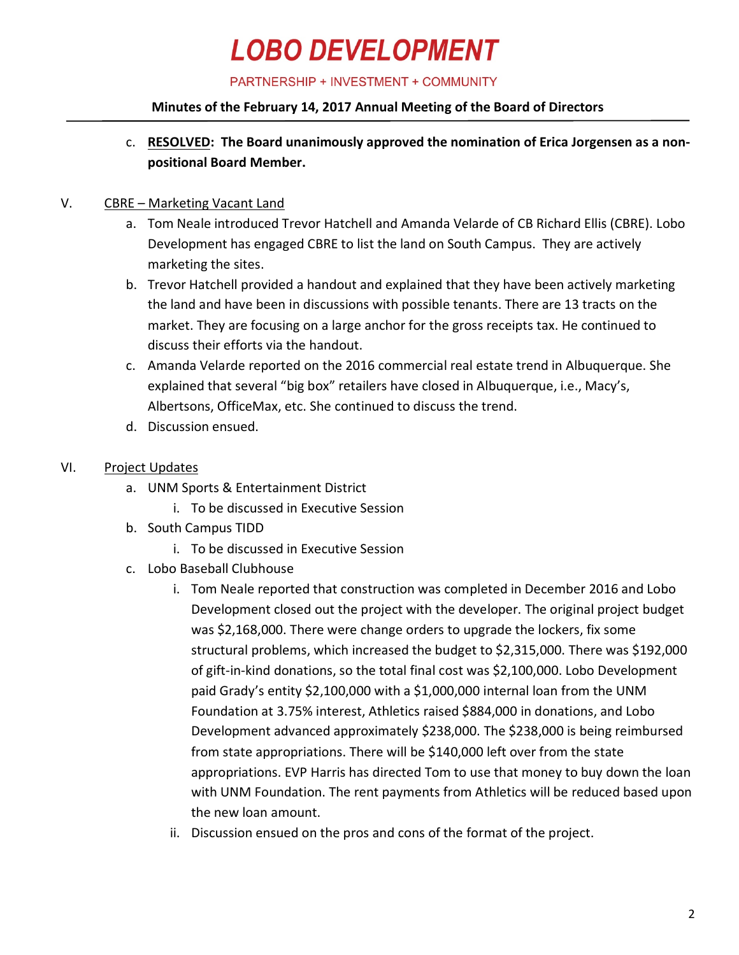# **LOBO DEVELOPMENT**

PARTNERSHIP + INVESTMENT + COMMUNITY

#### **Minutes of the February 14, 2017 Annual Meeting of the Board of Directors**

c. **RESOLVED: The Board unanimously approved the nomination of Erica Jorgensen as a nonpositional Board Member.**

#### V. CBRE – Marketing Vacant Land

- a. Tom Neale introduced Trevor Hatchell and Amanda Velarde of CB Richard Ellis (CBRE). Lobo Development has engaged CBRE to list the land on South Campus. They are actively marketing the sites.
- b. Trevor Hatchell provided a handout and explained that they have been actively marketing the land and have been in discussions with possible tenants. There are 13 tracts on the market. They are focusing on a large anchor for the gross receipts tax. He continued to discuss their efforts via the handout.
- c. Amanda Velarde reported on the 2016 commercial real estate trend in Albuquerque. She explained that several "big box" retailers have closed in Albuquerque, i.e., Macy's, Albertsons, OfficeMax, etc. She continued to discuss the trend.
- d. Discussion ensued.
- VI. Project Updates
	- a. UNM Sports & Entertainment District
		- i. To be discussed in Executive Session
	- b. South Campus TIDD
		- i. To be discussed in Executive Session
	- c. Lobo Baseball Clubhouse
		- i. Tom Neale reported that construction was completed in December 2016 and Lobo Development closed out the project with the developer. The original project budget was \$2,168,000. There were change orders to upgrade the lockers, fix some structural problems, which increased the budget to \$2,315,000. There was \$192,000 of gift-in-kind donations, so the total final cost was \$2,100,000. Lobo Development paid Grady's entity \$2,100,000 with a \$1,000,000 internal loan from the UNM Foundation at 3.75% interest, Athletics raised \$884,000 in donations, and Lobo Development advanced approximately \$238,000. The \$238,000 is being reimbursed from state appropriations. There will be \$140,000 left over from the state appropriations. EVP Harris has directed Tom to use that money to buy down the loan with UNM Foundation. The rent payments from Athletics will be reduced based upon the new loan amount.
		- ii. Discussion ensued on the pros and cons of the format of the project.